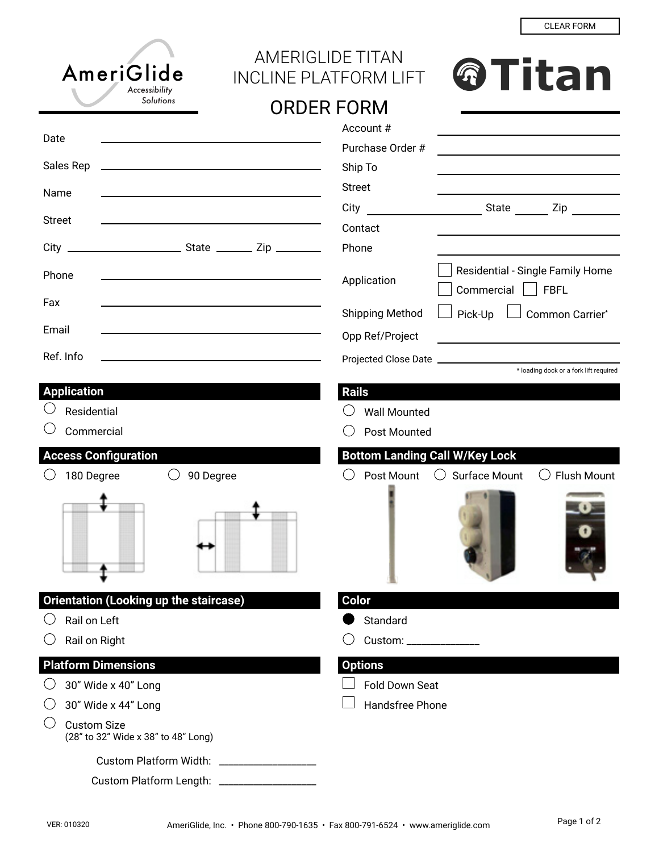| AmeriGlide<br>Accessibility                                                                                                        | <b>AMERIGLIDE TITAN</b><br><b>@Titan</b><br><b>INCLINE PLATFORM LIFT</b>               |
|------------------------------------------------------------------------------------------------------------------------------------|----------------------------------------------------------------------------------------|
| Solutions                                                                                                                          | <b>ORDER FORM</b>                                                                      |
|                                                                                                                                    | Account#<br>the control of the control of the control of the control of the control of |
| Date                                                                                                                               | Purchase Order #                                                                       |
| Sales Rep<br><u> 1989 - Johann Barbara, martin amerikan basar dan berasal dan berasal dalam basar dalam basar dalam basar dala</u> | Ship To                                                                                |
| Name                                                                                                                               | <b>Street</b>                                                                          |
| <b>Street</b>                                                                                                                      | City<br>State Zip                                                                      |
|                                                                                                                                    | Contact                                                                                |
| $City$ $-$                                                                                                                         | Phone                                                                                  |
| Phone                                                                                                                              | Residential - Single Family Home<br>Application<br>Commercial<br><b>FBFL</b>           |
| Fax                                                                                                                                | Shipping Method<br>Pick-Up<br>Common Carrier*                                          |
| Email                                                                                                                              | Opp Ref/Project                                                                        |
| Ref. Info                                                                                                                          |                                                                                        |
|                                                                                                                                    | * loading dock or a fork lift required                                                 |
| <b>Application</b>                                                                                                                 | <b>Rails</b>                                                                           |
| Residential                                                                                                                        | <b>Wall Mounted</b>                                                                    |
| Commercial                                                                                                                         | Post Mounted                                                                           |
| <b>Access Configuration</b>                                                                                                        | <b>Bottom Landing Call W/Key Lock</b>                                                  |
| 180 Degree<br>$\left(\begin{array}{c} \end{array}\right)$<br>90 Degree                                                             | <b>Flush Mount</b><br><b>Surface Mount</b><br>Post Mount<br>( )<br>$($ )               |
|                                                                                                                                    |                                                                                        |
| <b>Orientation (Looking up the staircase)</b>                                                                                      | <b>Color</b>                                                                           |
| Rail on Left                                                                                                                       | Standard                                                                               |
| Rail on Right                                                                                                                      | Custom: ________________                                                               |
| <b>Platform Dimensions</b>                                                                                                         | <b>Options</b>                                                                         |
| 30" Wide x 40" Long                                                                                                                | <b>Fold Down Seat</b>                                                                  |
| 30" Wide x 44" Long                                                                                                                | Handsfree Phone                                                                        |
| <b>Custom Size</b><br>(28" to 32" Wide x 38" to 48" Long)                                                                          |                                                                                        |
| <b>Custom Platform Width:</b>                                                                                                      |                                                                                        |
| Custom Platform Length: ___________                                                                                                |                                                                                        |